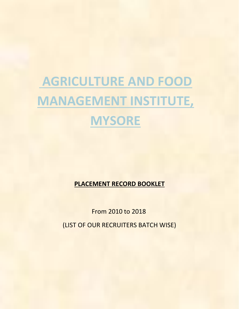## **AGRICULTURE AND FOOD MANAGEMENT INSTITUTE, MYSORE**

**PLACEMENT RECORD BOOKLET**

From 2010 to 2018

(LIST OF OUR RECRUITERS BATCH WISE)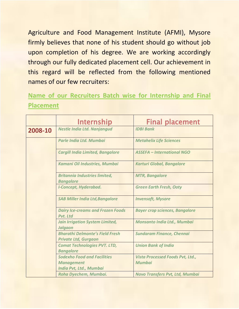Agriculture and Food Management Institute (AFMI), Mysore firmly believes that none of his student should go without job upon completion of his degree. We are working accordingly through our fully dedicated placement cell. Our achievement in this regard will be reflected from the following mentioned names of our few recruiters:

## **Name of our Recruiters Batch wise for Internship and Final Placement**

|         | <b>Internship</b>                                                                  | <b>Final placement</b>                                   |
|---------|------------------------------------------------------------------------------------|----------------------------------------------------------|
| 2008-10 | <b>Nestle India Ltd. Nanjangud</b>                                                 | <b>IDBI Bank</b>                                         |
|         | Parle India Ltd. Mumbai                                                            | <b>Metahelix Life Sciences</b>                           |
|         | <b>Cargill India Limited, Bangalore</b>                                            | <b>ASSEFA - International NGO</b>                        |
|         | <b>Kamani Oil Industries, Mumbai</b>                                               | <b>Karturi Global, Bangalore</b>                         |
|         | <b>Britannia Industries limited,</b><br><b>Bangalore</b>                           | <b>MTR, Bangalore</b>                                    |
|         | <b>I-Concept, Hyderabad.</b>                                                       | <b>Green Earth Fresh, Ooty</b>                           |
|         | <b>SAB Miller India Ltd, Bangalore</b>                                             | <b>Invensoft, Mysore</b>                                 |
|         | <b>Dairy Ice-creams and Frozen Foods</b><br>Pvt. Ltd                               | <b>Bayer crop sciences, Bangalore</b>                    |
|         | <b>Jain Irrigation System Limited,</b><br><b>Jalgaon</b>                           | Monsanto India Ltd., Mumbai                              |
|         | <b>Bharathi Delmonte's Field Fresh</b><br><b>Private Ltd, Gurgaon</b>              | <b>Sundaram Finance, Chennai</b>                         |
|         | <b>Comat Technologies PVT. LTD,</b><br><b>Bangalore</b>                            | <b>Union Bank of India</b>                               |
|         | <b>Sodexho Food and Facilities</b><br><b>Management</b><br>India Pvt, Ltd., Mumbai | <b>Vista Processed Foods Pvt, Ltd.,</b><br><b>Mumbai</b> |
|         | Roha Dyechem, Mumbai.                                                              | <b>Novo Transfers Pvt, Ltd, Mumbai</b>                   |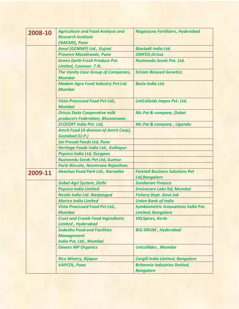| 2008-10 | <b>Agriculture and Food Analysis and</b>                                                                                                        | Nagarjuna Fertilizers, Hyderabad                                                                                                  |
|---------|-------------------------------------------------------------------------------------------------------------------------------------------------|-----------------------------------------------------------------------------------------------------------------------------------|
|         | <b>Research Institute</b>                                                                                                                       |                                                                                                                                   |
|         | (NAFARI), Pune                                                                                                                                  |                                                                                                                                   |
|         | <b>Amul (GCMMF) Ltd., Gujrat</b>                                                                                                                | <b>Biostadt India Ltd.</b>                                                                                                        |
|         | <b>Praveen Masalewale, Pune</b>                                                                                                                 | <b>OMFED, Orissa</b>                                                                                                              |
|         | <b>Green Earth Fresh Produce Pvt.</b><br>Limited, Coonoor. T.N                                                                                  | <b>Nuziveedu Seeds Pvt. Ltd.</b>                                                                                                  |
|         |                                                                                                                                                 | <b>Sriram Bioseed Genetics</b>                                                                                                    |
|         | <b>The Vanity Case Group of Companies,</b><br><b>Mumbai</b>                                                                                     |                                                                                                                                   |
|         | <b>Madam Agro Food Industry Pvt.Ltd.</b><br><b>Mumbai</b>                                                                                       | <b>Basix India Ltd.</b>                                                                                                           |
|         |                                                                                                                                                 |                                                                                                                                   |
|         | <b>Vista Processed Food Pvt Ltd.,</b><br><b>Mumbai</b>                                                                                          | <b>UniColloids Impex Pvt. Ltd.</b>                                                                                                |
|         | <b>Orissa State Cooperative milk</b><br>producers Federation, Bhuvneswar.                                                                       | <b>Mc.Pai &amp; company, Dubai</b>                                                                                                |
|         | <b>ECOCERT India Pvt. Ltd,</b>                                                                                                                  | Mc.Pai & company, Uganda                                                                                                          |
|         | <b>Amrit Food (A division of Amrit Corp),</b>                                                                                                   |                                                                                                                                   |
|         | <b>Gaziabad (U.P.)</b>                                                                                                                          |                                                                                                                                   |
|         | <b>Sai Prasad Foods Ltd, Pune</b>                                                                                                               |                                                                                                                                   |
|         | Heritage Foods India Ltd., Kolhapur                                                                                                             |                                                                                                                                   |
|         | <b>Pepsico India Ltd, Gurgaon</b>                                                                                                               |                                                                                                                                   |
|         | <b>Nuziveedu Seeds Pvt Ltd, Guntur.</b>                                                                                                         |                                                                                                                                   |
|         | Parle Biscuits, Neemrana Rajasthan.                                                                                                             |                                                                                                                                   |
| 2009-11 | Akashya Food Park Ltd., Karnatka                                                                                                                | <b>Foretell Business Solutions Pvt</b><br><b>Ltd, Bangalore</b>                                                                   |
|         | <b>Gobal Agri System, Delhi</b>                                                                                                                 | <b>Sundaram Finance</b>                                                                                                           |
|         | <b>Pepsico India Limited</b>                                                                                                                    | <b>Envirocare Labs Itd, Mumbai</b>                                                                                                |
|         | <b>Nestle India Ltd. Nanjangud</b>                                                                                                              | <b>Fishery Dept. Govt.Job</b>                                                                                                     |
|         | <b>Marico India Limited</b>                                                                                                                     | <b>Union Bank of India</b>                                                                                                        |
|         | <b>Vista Processed Food Pvt Ltd.,</b>                                                                                                           | <b>Symbiometric Innovations India Pvt.</b>                                                                                        |
|         | <b>Mumbai</b>                                                                                                                                   | <b>Limited, Bangalore</b>                                                                                                         |
|         | <b>Crust and Crumb Food Ingredients</b><br><b>Limited, Hyderabad</b>                                                                            | <b>VKLSpices, Kerla</b>                                                                                                           |
|         |                                                                                                                                                 |                                                                                                                                   |
|         |                                                                                                                                                 |                                                                                                                                   |
|         |                                                                                                                                                 |                                                                                                                                   |
|         | <b>Davars MP Organics</b>                                                                                                                       | <b>Unicollides, Mumbai</b>                                                                                                        |
|         |                                                                                                                                                 |                                                                                                                                   |
|         |                                                                                                                                                 |                                                                                                                                   |
|         |                                                                                                                                                 |                                                                                                                                   |
|         | <b>Sodexho Food and Facilities</b><br><b>Management</b><br><b>India Pvt, Ltd., Mumbai</b><br><b>Rico Winery, Bijapur</b><br><b>VAPCOL, Pune</b> | <b>BIG DRUM, Hyderabad</b><br><b>Cargill India Limited, Bangalore</b><br><b>Britannia Industries limited,</b><br><b>Bangalore</b> |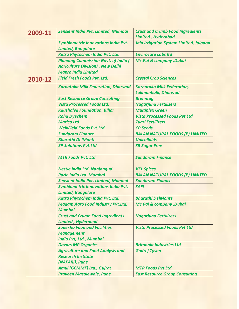| 2009-11 | Sensient India Pvt. Limited, Mumbai                                                       | <b>Crust and Crumb Food Ingredients</b>        |
|---------|-------------------------------------------------------------------------------------------|------------------------------------------------|
|         |                                                                                           | <b>Limited, Hyderabad</b>                      |
|         | <b>Symbiometric Innovations India Pvt.</b>                                                | <b>Jain Irrigation System Limited, Jalgaon</b> |
|         | <b>Limited, Bangalore</b>                                                                 |                                                |
|         | Katra Phytochem India Pvt. Ltd.                                                           | <b>Envirocare Labs Itd</b>                     |
|         | <b>Planning Commission Govt. of India (</b>                                               | <b>Mc.Pai &amp; company, Dubai</b>             |
|         | <b>Agriculture Division), New Delhi</b>                                                   |                                                |
|         | <b>Mapro India Limited</b>                                                                |                                                |
| 2010-12 | <b>Field Fresh Foods Pvt. Ltd.</b>                                                        | <b>Crystal Crop Sciences</b>                   |
|         | <b>Karnataka Milk Federation, Dharwad</b>                                                 | <b>Karnataka Milk Federation,</b>              |
|         |                                                                                           | Lakmanhalli, Dharwad                           |
|         | <b>East Resource Group Consulting</b>                                                     | <b>Brenntag</b>                                |
|         | <b>Vista Processed Foods Ltd.</b>                                                         | <b>Nagarjuna Fertilizers</b>                   |
|         | <b>Kaushalya Foundation, Bihar</b>                                                        | <b>Multiplex Green</b>                         |
|         | <b>Roha Dyechem</b>                                                                       | <b>Vista Processed Foods Pvt Ltd</b>           |
|         | <b>Marico Ltd</b>                                                                         | <b>Zuari Fertilizers</b>                       |
|         | <b>WeikField Foods Pvt.Ltd</b>                                                            | <b>CP Seeds</b>                                |
|         | <b>Sundaram Finance</b>                                                                   | <b>BALAN NATURAL FOODS (P) LIMITED</b>         |
|         | <b>Bharathi DelMonte</b>                                                                  | <b>Unicolloids</b>                             |
|         | <b>3P Solutions Pyt.Ltd</b>                                                               | <b>SB Sugar Free</b>                           |
|         | <b>MTR Foods Pvt. Ltd</b>                                                                 | <b>Sundaram Finance</b>                        |
|         | <b>Nestle India Ltd. Nanjangud</b>                                                        | <b>VKL Spices</b>                              |
|         | Parle India Ltd. Mumbai                                                                   | <b>BALAN NATURAL FOODS (P) LIMITED</b>         |
|         | Sensient India Pvt. Limited, Mumbai                                                       | <b>Sundaram Finance</b>                        |
|         | <b>Symbiometric Innovations India Pvt.</b><br><b>Limited, Bangalore</b>                   | <b>SAFL</b>                                    |
|         | Katra Phytochem India Pvt. Ltd.                                                           | <b>Bharathi DelMonte</b>                       |
|         | <b>Madam Agro Food Industry Pvt.Ltd.</b><br><b>Mumbai</b>                                 | <b>Mc.Pai &amp; company, Dubai</b>             |
|         | <b>Crust and Crumb Food Ingredients</b><br><b>Limited, Hyderabad</b>                      | <b>Nagarjuna Fertilizers</b>                   |
|         | <b>Sodexho Food and Facilities</b><br><b>Management</b><br><b>India Pvt, Ltd., Mumbai</b> | <b>Vista Processed Foods Pvt Ltd</b>           |
|         | <b>Davars MP Organics</b>                                                                 | <b>Britannia Industries Ltd</b>                |
|         | <b>Agriculture and Food Analysis and</b>                                                  | <b>Godrej Tyson</b>                            |
|         | <b>Research Institute</b>                                                                 |                                                |
|         | (NAFARI), Pune                                                                            |                                                |
|         | <b>Amul (GCMMF) Ltd., Gujrat</b>                                                          | <b>MTR Foods Pvt Ltd.</b>                      |
|         |                                                                                           |                                                |
|         | <b>Praveen Masalewale, Pune</b>                                                           | <b>East Resource Group Consulting</b>          |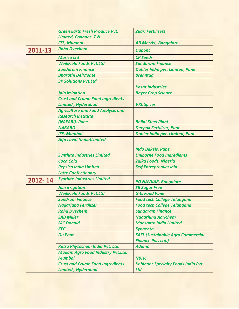|         | <b>Green Earth Fresh Produce Pvt.</b>    | <b>Zuari Fertilizers</b>                   |
|---------|------------------------------------------|--------------------------------------------|
|         | Limited, Coonoor. T.N.                   |                                            |
|         | <b>FSL, Mumbai</b>                       | <b>AB Morris, Bangalore</b>                |
| 2011-13 | <b>Roha Dyechem</b>                      | <b>Dupont</b>                              |
|         | <b>Marico Ltd</b>                        | <b>CP Seeds</b>                            |
|         | <b>WeikField Foods Pvt.Ltd</b>           | <b>Sundaram Finance</b>                    |
|         | <b>Sundaram Finance</b>                  | <b>Dohler India pvt. Limited, Pune</b>     |
|         | <b>Bharathi DelMonte</b>                 | <b>Brenntag</b>                            |
|         | <b>3P Solutions Pyt.Ltd</b>              | <b>Kasat Industries</b>                    |
|         | <b>Jain irrigation</b>                   | <b>Bayer Crop Science</b>                  |
|         | <b>Crust and Crumb Food Ingredients</b>  |                                            |
|         | <b>Limited, Hyderabad</b>                | <b>VKL Spices</b>                          |
|         | <b>Agriculture and Food Analysis and</b> |                                            |
|         | <b>Research Institute</b>                |                                            |
|         | (NAFARI), Pune                           | <b>Bhilai Steel Plant</b>                  |
|         | <b>NABARD</b>                            | <b>Deepak Fertilizer, Pune</b>             |
|         | <b>IFF, Mumbai</b>                       | <b>Dohler India pvt. Limited, Pune</b>     |
|         | <b>Alfa Laval (India)Limited</b>         |                                            |
|         |                                          |                                            |
|         |                                          | <b>Indo Bakels, Pune</b>                   |
|         | <b>Synthite Industries Limited</b>       | <b>Uniborne Food Ingredients</b>           |
|         | <b>Coca Cola</b>                         | <b>Zaika Foods, Nigeria</b>                |
|         | <b>Pepsico India Limited</b>             | <b>Self Entreprenuership</b>               |
|         | <b>Lotte Confectionary</b>               |                                            |
| 2012-14 | <b>Synthite Industries Limited</b>       | <b>PD NAVKAR, Bangalore</b>                |
|         | <b>Jain irrigation</b>                   | <b>SB Sugar Free</b>                       |
|         | <b>WeikField Foods Pvt.Ltd</b>           | <b>Gits Food Pune</b>                      |
|         | <b>Sundram Finance</b>                   | <b>Food tech College Telangana</b>         |
|         | <b>Nagarjuna Fertilizer</b>              | <b>Food tech College Telangana</b>         |
|         | <b>Roha Dyechem</b>                      | <b>Sundaram Finance</b>                    |
|         | <b>SAB Miller</b>                        | <b>Nagarjuna Agrichem</b>                  |
|         | <b>MC Donald</b>                         | <b>Monsanto India Limited</b>              |
|         | <b>KFC</b>                               | <b>Syngenta</b>                            |
|         | <b>Du Pont</b>                           | <b>SAFL (Sustainable Agro Commercial</b>   |
|         |                                          | <b>Finance Pvt. Ltd.)</b>                  |
|         | Katra Phytochem India Pvt. Ltd.          | <b>Adama</b>                               |
|         | <b>Madam Agro Food Industry Pvt.Ltd.</b> |                                            |
|         | <b>Mumbai</b>                            | <b>NBHC</b>                                |
|         | <b>Crust and Crumb Food Ingredients</b>  | <b>Kohinoor Specialty Foods India Pvt.</b> |
|         | <b>Limited, Hyderabad</b>                | Ltd.                                       |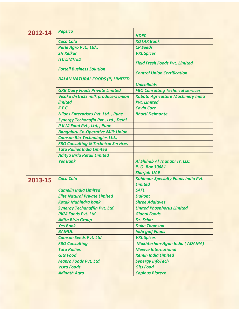| 2012-14 | <b>Pepsico</b>                                 |                                                              |
|---------|------------------------------------------------|--------------------------------------------------------------|
|         |                                                | <b>HDFC</b>                                                  |
|         | Coca Cola                                      | <b>KOTAK Bank</b>                                            |
|         | Parle Agro Pvt., Ltd.,                         | <b>CP Seeds</b>                                              |
|         | <b>SH Kelkar</b>                               | <b>VKL Spices</b>                                            |
|         | <b>ITC LIMITED</b>                             | <b>Field Fresh Foods Pvt. Limited</b>                        |
|         | <b>Fortell Business Solution</b>               | <b>Control Union Certification</b>                           |
|         | <b>BALAN NATURAL FOODS (P) LIMITED</b>         | <b>Unicolloids</b>                                           |
|         | <b>GRB Dairy Foods Private Limited</b>         | <b>FBO Consulting Technical services</b>                     |
|         | Visaka districts milk producers union          | <b>Kubota Agriculture Machinery India</b>                    |
|         | <b>limited</b>                                 | <b>Pvt. Limited</b>                                          |
|         | <b>KFC</b>                                     | <b>Cavin Care</b>                                            |
|         | <b>Nilons Enterprises Pvt. Ltd., Pune</b>      | <b>Bharti Delmonte</b>                                       |
|         | Synergy Techonofin Pvt., Ltd., Delhi           |                                                              |
|         | P K M Food Pvt., Ltd, , Pune                   |                                                              |
|         | <b>Bangaluru Co-Operative Milk Union</b>       |                                                              |
|         | <b>Camson Bio-Technologies Ltd.,</b>           |                                                              |
|         | <b>FBO Consulting &amp; Technical Services</b> |                                                              |
|         | <b>Tata Rallies India Limited</b>              |                                                              |
|         | <b>Aditya Birla Retail Limited</b>             |                                                              |
|         | <b>Yes Bank</b>                                | Al Shihab Al Thahabi Tr. LLC.                                |
|         |                                                | P. O. Box 30681                                              |
|         |                                                | <b>Sharjah-UAE</b>                                           |
| 2013-15 | <b>Coca Cola</b>                               | <b>Kohinoor Specialty Foods India Pvt.</b><br><b>Limited</b> |
|         | <b>Camelin India Limited</b>                   | <b>SAFL</b>                                                  |
|         | <b>Elite Natural Private Limited</b>           | <b>DuPont</b>                                                |
|         | <b>Kotak Mahindra bank</b>                     | <b>Shree Additives</b>                                       |
|         | <b>Synergy Techanaffin Pvt. Ltd.</b>           | <b>United Phosphorus Limited</b>                             |
|         | <b>PKM Foods Pvt. Ltd.</b>                     | <b>Global Foods</b>                                          |
|         | <b>Adita Birla Group</b>                       | <b>Dr. Schar</b>                                             |
|         | <b>Yes Bank</b>                                | <b>Duke Thomson</b>                                          |
|         | <b>BAMUL</b>                                   | <b>Indo gulf Foods</b>                                       |
|         | <b>Camson Seeds Pvt. Ltd</b>                   | <b>VKL Spices</b>                                            |
|         | <b>FBO Consulting</b>                          | <b>Makhteshim-Agan India (ADAMA)</b>                         |
|         | <b>Tata Rallies</b>                            | <b>Mevive International</b>                                  |
|         | <b>Gits Food</b>                               | <b>Kemin India Limited</b>                                   |
|         | <b>Mapro Foods Pvt. Ltd.</b>                   | <b>Synergy InfoTech</b>                                      |
|         | <b>Vista Foods</b>                             | <b>Gits Food</b>                                             |
|         | <b>Adinath Agro</b>                            | <b>Capious Biotech</b>                                       |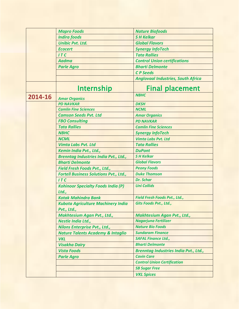|         | <b>Mapro Foods</b>                                       | <b>Nature Biofoods</b>                       |
|---------|----------------------------------------------------------|----------------------------------------------|
|         | <b>Indira foods</b>                                      | <b>SH Kelkar</b>                             |
|         | <b>Unibic Pvt. Ltd.</b>                                  | <b>Global Flavors</b>                        |
|         | <b>Ecocert</b>                                           | <b>Synergy InfoTech</b>                      |
|         | ITC                                                      | <b>Tata Rallies</b>                          |
|         | <b>Aadma</b>                                             | <b>Control Union certifications</b>          |
|         | <b>Parle Agro</b>                                        | <b>Bharti Delmonte</b>                       |
|         |                                                          | <b>CP</b> Seeds                              |
|         |                                                          | <b>Anglovaal Industries, South Africa</b>    |
|         | <b>Internship</b>                                        | <b>Final placement</b>                       |
| 2014-16 | <b>Amar Organics</b>                                     | <b>NBHC</b>                                  |
|         | <b>PD NAVKAR</b>                                         | <b>DKSH</b>                                  |
|         | <b>Camlin Fine Sciences</b>                              | <b>NCML</b>                                  |
|         | <b>Camson Seeds Pvt. Ltd</b>                             | <b>Amar Organics</b>                         |
|         | <b>FBO Consulting</b>                                    | <b>PD NAVKAR</b>                             |
|         | <b>Tata Rallies</b>                                      | <b>Camlin Fine Sciences</b>                  |
|         | <b>NBHC</b>                                              | <b>Synergy InfoTech</b>                      |
|         | <b>NCML</b>                                              | <b>Vimta Labs Pvt. Ltd</b>                   |
|         | <b>Vimta Labs Pvt. Ltd</b>                               | <b>Tata Rallies</b>                          |
|         | Kemin India Pvt., Ltd.,                                  | <b>DuPont</b>                                |
|         | <b>Brenntag Industries India Pvt., Ltd.,</b>             | <b>SH Kelkar</b>                             |
|         | <b>Bharti Delmonte</b>                                   | <b>Global Flavors</b>                        |
|         | Field Fresh Foods Pvt., Ltd.,                            | <b>Peony Foods</b>                           |
|         | <b>Fortell Business Solutions Pvt., Ltd.,</b>            | <b>Duke Thomson</b>                          |
|         | ITC                                                      | <b>Dr. Schar</b>                             |
|         | <b>Kohinoor Specialty Foods India (P)</b><br>Ltd.,       | <b>Uni Collids</b>                           |
|         | <b>Kotak Mahindra Bank</b>                               | Field Fresh Foods Pvt., Ltd.,                |
|         | <b>Kubota Agriculture Machinery India</b><br>Pvt., Ltd., | Gits Foods Pvt., Ltd.,                       |
|         | Makhtesium Agan Pvt., Ltd.,                              | Makhtesium Agan Pvt., Ltd.,                  |
|         | Nestle India Ltd.,                                       | Nagarjuna Fertilizer                         |
|         | <b>Nilons Enterprise Pvt., Ltd.,</b>                     | <b>Nature Bio Foods</b>                      |
|         | <b>Nature Talents Academy &amp; Intaglio</b>             | <b>Sundaram Finance</b>                      |
|         | <b>VKL</b>                                               | <b>SAFAL Finance Ltd.,</b>                   |
|         | <b>Visakha Dairy</b>                                     | <b>Bharti Delmonte</b>                       |
|         | <b>Vista Foods</b>                                       | <b>Brenntag Industries India Pvt., Ltd.,</b> |
|         | <b>Parle Agro</b>                                        | <b>Cavin Care</b>                            |
|         |                                                          | <b>Control Union Certification</b>           |
|         |                                                          | <b>SB Sugar Free</b>                         |
|         |                                                          | <b>VKL Spices</b>                            |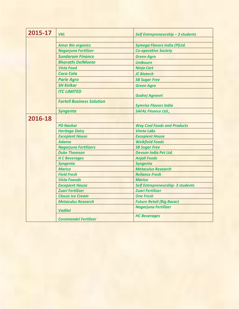| 2015-17 | <b>VKL</b>                             | Self Entrepreneurship - 3 students                   |
|---------|----------------------------------------|------------------------------------------------------|
|         |                                        |                                                      |
|         | <b>Amar Bio organics</b>               | <b>Symega Flavors India (P)Ltd.</b>                  |
|         | Nagarjuna Fertilizer                   | <b>Co-operative Society</b>                          |
|         | <b>Sundaram Finance</b>                | <b>Green Agro</b>                                    |
|         | <b>Bharathi DelMonte</b>               | <b>Unibourn</b>                                      |
|         | <b>Vista Food</b>                      | <b>Ninja Cart</b>                                    |
|         | <b>Coca Cola</b>                       | <b>JC Biotech</b>                                    |
|         | <b>Parle Agro</b>                      | <b>SB Sugar Free</b>                                 |
|         | <b>SH Kelkar</b>                       | <b>Green Agro</b>                                    |
|         | <b>ITC LIMITED</b>                     |                                                      |
|         |                                        | <b>Godrej Agrovet</b>                                |
|         | <b>Fortell Business Solution</b>       | <b>Symrise Flavors India</b>                         |
|         | <b>Syngenta</b>                        | <b>SAFAL Finance Ltd.,</b>                           |
| 2016-18 |                                        |                                                      |
|         | <b>PD Navkar</b>                       | <b>Way Cool Foods and Products</b>                   |
|         |                                        | <b>Vimta Labs</b>                                    |
|         | <b>Heritage Dairy</b>                  |                                                      |
|         | <b>Excepient House</b><br><b>Adama</b> | <b>Excepient House</b>                               |
|         |                                        | <b>Weikfield Foods</b>                               |
|         | <b>Nagarjuna Fertilizers</b>           | <b>SB Sugar Free</b><br><b>Devson India Pvt Ltd.</b> |
|         | <b>Duke Thomson</b>                    |                                                      |
|         | <b>H C Beverages</b>                   | <b>Anjali Foods</b>                                  |
|         | <b>Syngenta</b>                        | <b>Syngenta</b>                                      |
|         | <b>Marico</b>                          | <b>Metaculus Research</b>                            |
|         | <b>Field Fresh</b>                     | <b>Reliance Fresh</b>                                |
|         | <b>Vista Fooods</b>                    | <b>Marico</b>                                        |
|         | <b>Excepient House</b>                 | Self Entrepreneurship- 3 students                    |
|         | <b>Zuari Fertilizer</b>                | <b>Zuari Fertilizer</b>                              |
|         | <b>Classic Ice Cream</b>               | <b>One Fresh</b>                                     |
|         | <b>Metaculus Research</b>              | <b>Future Retail (Big Bazar)</b>                     |
|         | <b>Vadilal</b>                         | <b>Nagarjuna Fertilizer</b>                          |
|         | <b>Coromandel Fertilizer</b>           | <b>HC Beverages</b>                                  |